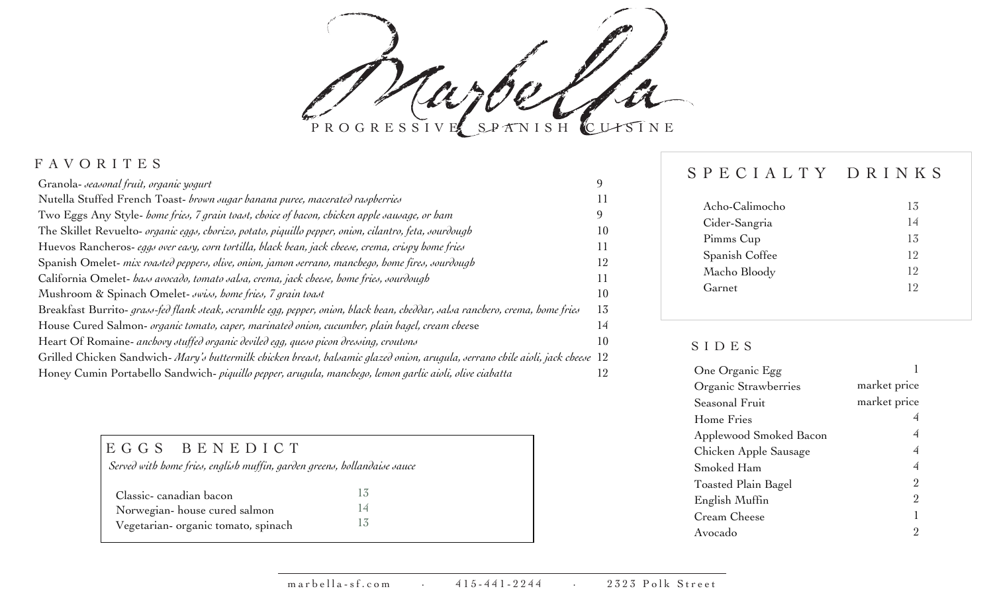aro PROGRESSIVE SPANISH CUISINE

|    | Acho-Calimocho                                                                                                                 |
|----|--------------------------------------------------------------------------------------------------------------------------------|
|    | Cider-Sangria                                                                                                                  |
| 10 | Pimms Cup                                                                                                                      |
|    |                                                                                                                                |
|    | Spanish Coffee                                                                                                                 |
|    | Macho Bloody                                                                                                                   |
| 10 | Garnet                                                                                                                         |
| 13 |                                                                                                                                |
| 14 |                                                                                                                                |
| 10 | SIDES                                                                                                                          |
|    |                                                                                                                                |
|    | One Organic Egg                                                                                                                |
|    | Grilled Chicken Sandwich-Mary's buttermilk chicken breast, balsamic glazed onion, arugula, serrano chile aioli, jack cheese 12 |

| EGGS BENEDICT                                                            |  |  |  |
|--------------------------------------------------------------------------|--|--|--|
| Served with home fries, english muffin, garden greens, hollandaise sauce |  |  |  |
| Classic-canadian bacon                                                   |  |  |  |
| Norwegian-house cured salmon                                             |  |  |  |
| Vegetarian- organic tomato, spinach                                      |  |  |  |

# FAVORITES SPECIALTY DRINKS

| Acho-Calimocho | 13             |
|----------------|----------------|
| Cider-Sangria  |                |
| Pimms Cup      | 13             |
| Spanish Coffee | l2             |
| Macho Bloody   | 2              |
| Garnet         | $\overline{2}$ |
|                |                |

## SIDES

| One Organic Egg        |              |
|------------------------|--------------|
| Organic Strawberries   | market price |
| Seasonal Fruit         | market price |
| Home Fries             |              |
| Applewood Smoked Bacon |              |
| Chicken Apple Sausage  | 4            |
| Smoked Ham             | 4            |
| Toasted Plain Bagel    | 2            |
| English Muffin         | 2            |
| Cream Cheese           |              |
| Avocado                |              |